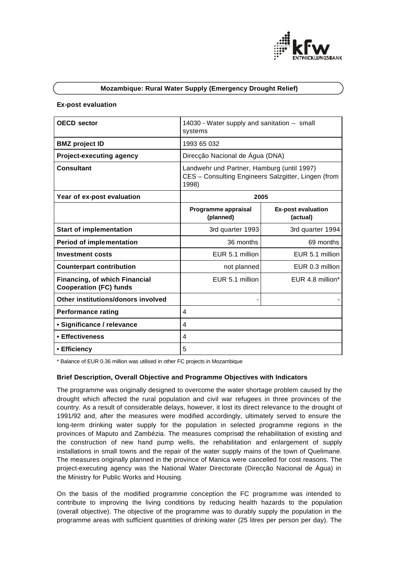

## **Mozambique: Rural Water Supply (Emergency Drought Relief)**

#### **Ex-post evaluation**

| <b>OECD</b> sector                                             | 14030 - Water supply and sanitation - small<br>systems                                                     |                                       |
|----------------------------------------------------------------|------------------------------------------------------------------------------------------------------------|---------------------------------------|
| <b>BMZ</b> project ID                                          | 1993 65 032                                                                                                |                                       |
| <b>Project-executing agency</b>                                | Direcção Nacional de Água (DNA)                                                                            |                                       |
| <b>Consultant</b>                                              | Landwehr und Partner, Hamburg (until 1997)<br>CES - Consulting Engineers Salzgitter, Lingen (from<br>1998) |                                       |
| Year of ex-post evaluation                                     | 2005                                                                                                       |                                       |
|                                                                | Programme appraisal<br>(planned)                                                                           | <b>Ex-post evaluation</b><br>(actual) |
| <b>Start of implementation</b>                                 | 3rd quarter 1993                                                                                           | 3rd quarter 1994                      |
| <b>Period of implementation</b>                                | 36 months                                                                                                  | 69 months                             |
| <b>Investment costs</b>                                        | EUR 5.1 million                                                                                            | EUR 5.1 million                       |
| <b>Counterpart contribution</b>                                | not planned                                                                                                | EUR 0.3 million                       |
| Financing, of which Financial<br><b>Cooperation (FC) funds</b> | EUR 5.1 million                                                                                            | EUR 4.8 million*                      |
| Other institutions/donors involved                             |                                                                                                            |                                       |
| <b>Performance rating</b>                                      | 4                                                                                                          |                                       |
| • Significance / relevance                                     | 4                                                                                                          |                                       |
| • Effectiveness                                                | 4                                                                                                          |                                       |
| • Efficiency                                                   | 5                                                                                                          |                                       |

\* Balance of EUR 0.36 million was utilised in other FC projects in Mozambique

### **Brief Description, Overall Objective and Programme Objectives with Indicators**

The programme was originally designed to overcome the water shortage problem caused by the drought which affected the rural population and civil war refugees in three provinces of the country. As a result of considerable delays, however, it lost its direct relevance to the drought of 1991/92 and, after the measures were modified accordingly, ultimately served to ensure the long-term drinking water supply for the population in selected programme regions in the provinces of Maputo and Zambézia. The measures comprised the rehabilitation of existing and the construction of new hand pump wells, the rehabilitation and enlargement of supply installations in small towns and the repair of the water supply mains of the town of Quelimane. The measures originally planned in the province of Manica were cancelled for cost reasons. The project-executing agency was the National Water Directorate (Direcção Nacional de Água) in the Ministry for Public Works and Housing.

On the basis of the modified programme conception the FC programme was intended to contribute to improving the living conditions by reducing health hazards to the population (overall objective). The objective of the programme was to durably supply the population in the programme areas with sufficient quantities of drinking water (25 litres per person per day). The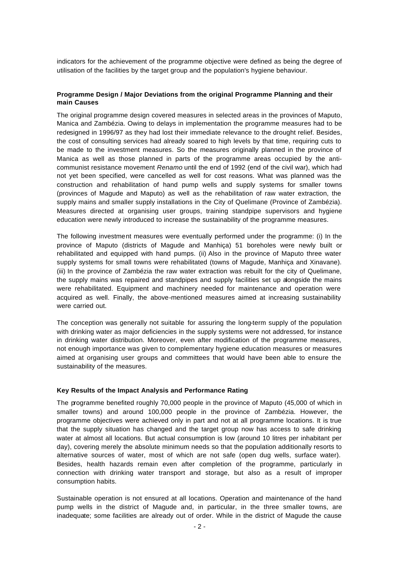indicators for the achievement of the programme objective were defined as being the degree of utilisation of the facilities by the target group and the population's hygiene behaviour.

## **Programme Design / Major Deviations from the original Programme Planning and their main Causes**

The original programme design covered measures in selected areas in the provinces of Maputo, Manica and Zambézia. Owing to delays in implementation the programme measures had to be redesigned in 1996/97 as they had lost their immediate relevance to the drought relief. Besides, the cost of consulting services had already soared to high levels by that time, requiring cuts to be made to the investment measures. So the measures originally planned in the province of Manica as well as those planned in parts of the programme areas occupied by the anticommunist resistance movement *Renamo* until the end of 1992 (end of the civil war), which had not yet been specified, were cancelled as well for cost reasons. What was planned was the construction and rehabilitation of hand pump wells and supply systems for smaller towns (provinces of Magude and Maputo) as well as the rehabilitation of raw water extraction, the supply mains and smaller supply installations in the City of Quelimane (Province of Zambézia). Measures directed at organising user groups, training standpipe supervisors and hygiene education were newly introduced to increase the sustainability of the programme measures.

The following investment measures were eventually performed under the programme: (i) In the province of Maputo (districts of Magude and Manhiça) 51 boreholes were newly built or rehabilitated and equipped with hand pumps. (ii) Also in the province of Maputo three water supply systems for small towns were rehabilitated (towns of Magude, Manhiça and Xinavane). (iii) In the province of Zambézia the raw water extraction was rebuilt for the city of Quelimane, the supply mains was repaired and standpipes and supply facilities set up alongside the mains were rehabilitated. Equipment and machinery needed for maintenance and operation were acquired as well. Finally, the above-mentioned measures aimed at increasing sustainability were carried out.

The conception was generally not suitable for assuring the long-term supply of the population with drinking water as major deficiencies in the supply systems were not addressed, for instance in drinking water distribution. Moreover, even after modification of the programme measures, not enough importance was given to complementary hygiene education measures or measures aimed at organising user groups and committees that would have been able to ensure the sustainability of the measures.

# **Key Results of the Impact Analysis and Performance Rating**

The programme benefited roughly 70,000 people in the province of Maputo (45,000 of which in smaller towns) and around 100,000 people in the province of Zambézia. However, the programme objectives were achieved only in part and not at all programme locations. It is true that the supply situation has changed and the target group now has access to safe drinking water at almost all locations. But actual consumption is low (around 10 litres per inhabitant per day), covering merely the absolute minimum needs so that the population additionally resorts to alternative sources of water, most of which are not safe (open dug wells, surface water). Besides, health hazards remain even after completion of the programme, particularly in connection with drinking water transport and storage, but also as a result of improper consumption habits.

Sustainable operation is not ensured at all locations. Operation and maintenance of the hand pump wells in the district of Magude and, in particular, in the three smaller towns, are inadequate; some facilities are already out of order. While in the district of Magude the cause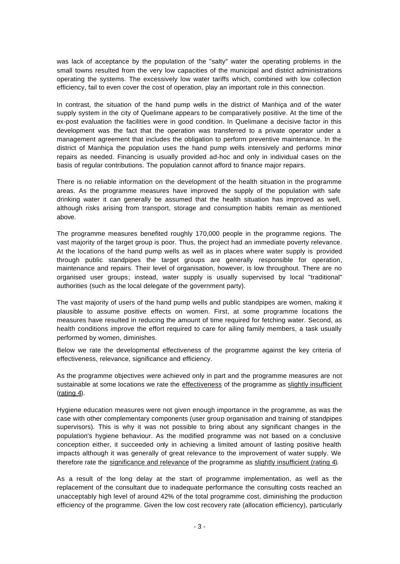was lack of acceptance by the population of the "salty" water the operating problems in the small towns resulted from the very low capacities of the municipal and district administrations operating the systems. The excessively low water tariffs which, combined with low collection efficiency, fail to even cover the cost of operation, play an important role in this connection.

In contrast, the situation of the hand pump wells in the district of Manhiça and of the water supply system in the city of Quelimane appears to be comparatively positive. At the time of the ex-post evaluation the facilities were in good condition. In Quelimane a decisive factor in this development was the fact that the operation was transferred to a private operator under a management agreement that includes the obligation to perform preventive maintenance. In the district of Manhiça the population uses the hand pump wells intensively and performs minor repairs as needed. Financing is usually provided ad-hoc and only in individual cases on the basis of regular contributions. The population cannot afford to finance major repairs.

There is no reliable information on the development of the health situation in the programme areas. As the programme measures have improved the supply of the population with safe drinking water it can generally be assumed that the health situation has improved as well, although risks arising from transport, storage and consumption habits remain as mentioned above.

The programme measures benefited roughly 170,000 people in the programme regions. The vast majority of the target group is poor. Thus, the project had an immediate poverty relevance. At the locations of the hand pump wells as well as in places where water supply is provided through public standpipes the target groups are generally responsible for operation, maintenance and repairs. Their level of organisation, however, is low throughout. There are no organised user groups; instead, water supply is usually supervised by local "traditional" authorities (such as the local delegate of the government party).

The vast majority of users of the hand pump wells and public standpipes are women, making it plausible to assume positive effects on women. First, at some programme locations the measures have resulted in reducing the amount of time required for fetching water. Second, as health conditions improve the effort required to care for ailing family members, a task usually performed by women, diminishes.

Below we rate the developmental effectiveness of the programme against the key criteria of effectiveness, relevance, significance and efficiency.

As the programme objectives were achieved only in part and the programme measures are not sustainable at some locations we rate the effectiveness of the programme as slightly insufficient  $(rating 4)$ .

Hygiene education measures were not given enough importance in the programme, as was the case with other complementary components (user group organisation and training of standpipes supervisors). This is why it was not possible to bring about any significant changes in the population's hygiene behaviour. As the modified programme was not based on a conclusive conception either, it succeeded only in achieving a limited amount of lasting positive health impacts although it was generally of great relevance to the improvement of water supply. We therefore rate the significance and relevance of the programme as slightly insufficient (rating 4).

As a result of the long delay at the start of programme implementation, as well as the replacement of the consultant due to inadequate performance the consulting costs reached an unacceptably high level of around 42% of the total programme cost, diminishing the production efficiency of the programme. Given the low cost recovery rate (allocation efficiency), particularly